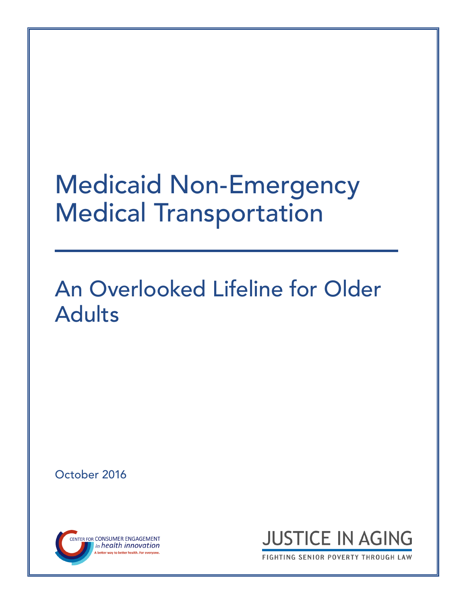# Medicaid Non-Emergency Medical Transportation

# An Overlooked Lifeline for Older Adults

October 2016





FIGHTING SENIOR POVERTY THROUGH LAW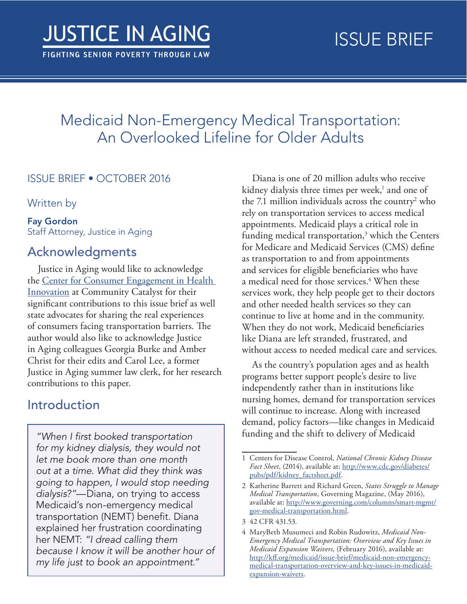## <span id="page-1-0"></span>Medicaid Non-Emergency Medical Transportation: An Overlooked Lifeline for Older Adults

#### ISSUE BRIEF • OCTOBER 2016

Written by

#### Fay Gordon Staff Attorney, Justice in Aging

## Acknowledgments

Justice in Aging would like to acknowledge the [Center for Consumer Engagement in Health](http://www.healthinnovation.org/)  [Innovation](http://www.healthinnovation.org/) at Community Catalyst for their significant contributions to this issue brief as well state advocates for sharing the real experiences of consumers facing transportation barriers. The author would also like to acknowledge Justice in Aging colleagues Georgia Burke and Amber Christ for their edits and Carol Lee, a former Justice in Aging summer law clerk, for her research contributions to this paper.

### Introduction

*"When I first booked transportation for my kidney dialysis, they would not let me book more than one month out at a time. What did they think was going to happen, I would stop needing dialysis?"*—Diana, on trying to access Medicaid's non-emergency medical transportation (NEMT) benefit. Diana explained her frustration coordinating her NEMT: *"I dread calling them because I know it will be another hour of my life just to book an appointment."*

Diana is one of 20 million adults who receive kidney dialysis three times per week,<sup>1</sup> and one of the 7.1 million individuals across the country<sup>2</sup> who rely on transportation services to access medical appointments. Medicaid plays a critical role in funding medical transportation,<sup>3</sup> which the Centers for Medicare and Medicaid Services (CMS) define as transportation to and from appointments and services for eligible beneficiaries who have a medical need for those services.<sup>4</sup> When these services work, they help people get to their doctors and other needed health services so they can continue to live at home and in the community. When they do not work, Medicaid beneficiaries like Diana are left stranded, frustrated, and without access to needed medical care and services.

As the country's population ages and as health programs better support people's desire to live independently rather than in institutions like nursing homes, demand for transportation services will continue to increase. Along with increased demand, policy factors—like changes in Medicaid funding and the shift to delivery of Medicaid

<sup>1</sup> Centers for Disease Control, *National Chronic Kidney Disease Fact Sheet*, (2014), available at: [http://www.cdc.gov/diabetes/](http://www.cdc.gov/diabetes/pubs/pdf/kidney_factsheet.pdf) [pubs/pdf/kidney\\_factsheet.pdf.](http://www.cdc.gov/diabetes/pubs/pdf/kidney_factsheet.pdf)

<sup>2</sup> Katherine Barrett and Richard Green, *States Struggle to Manage Medical Transportation*, Governing Magazine, (May 2016), available at: [http://www.governing.com/columns/smart-mgmt/](http://www.governing.com/columns/smart-mgmt/gov-medical-transportation.html) [gov-medical-transportation.html](http://www.governing.com/columns/smart-mgmt/gov-medical-transportation.html).

<sup>3</sup> 42 CFR 431.53.

<sup>4</sup> MaryBeth Musumeci and Robin Rudowitz, *Medicaid Non-Emergency Medical Transportation: Overview and Key Issues in Medicaid Expansion Waivers*, (February 2016), available at: [http://kff.org/medicaid/issue-brief/medicaid-non-emergency](http://kff.org/medicaid/issue-brief/medicaid-non-emergency-medical-transportation-overview-and-key-issues-in-medicaid-expansion-waivers/)[medical-transportation-overview-and-key-issues-in-medicaid](http://kff.org/medicaid/issue-brief/medicaid-non-emergency-medical-transportation-overview-and-key-issues-in-medicaid-expansion-waivers/)[expansion-waivers.](http://kff.org/medicaid/issue-brief/medicaid-non-emergency-medical-transportation-overview-and-key-issues-in-medicaid-expansion-waivers/)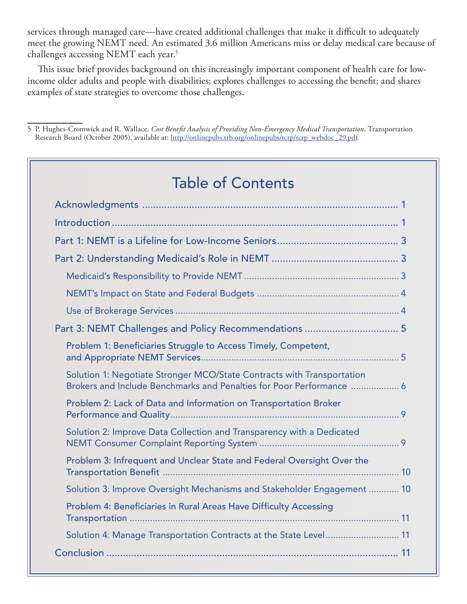services through managed care—have created additional challenges that make it difficult to adequately meet the growing NEMT need. An estimated 3.6 million Americans miss or delay medical care because of challenges accessing NEMT each year.<sup>5</sup>

This issue brief provides background on this increasingly important component of health care for lowincome older adults and people with disabilities; explores challenges to accessing the benefit; and shares examples of state strategies to overcome those challenges.

5 P. Hughes-Cromwick and R. Wallace, *Cost Benefit Analysis of Providing Non-Emergency Medical Transportation*, Transportation Research Board (October 2005), available at: [http://onlinepubs.trb.org/onlinepubs/tcrp/tcrp\\_webdoc\\_29.pdf](http://www.trb.org/Publications/Blurbs/156625.aspx).

## Table of Contents

| Part 3: NEMT Challenges and Policy Recommendations  5                                                                                          |  |
|------------------------------------------------------------------------------------------------------------------------------------------------|--|
| Problem 1: Beneficiaries Struggle to Access Timely, Competent,                                                                                 |  |
| Solution 1: Negotiate Stronger MCO/State Contracts with Transportation<br>Brokers and Include Benchmarks and Penalties for Poor Performance  6 |  |
| Problem 2: Lack of Data and Information on Transportation Broker                                                                               |  |
| Solution 2: Improve Data Collection and Transparency with a Dedicated                                                                          |  |
| Problem 3: Infrequent and Unclear State and Federal Oversight Over the                                                                         |  |
| Solution 3: Improve Oversight Mechanisms and Stakeholder Engagement  10                                                                        |  |
| Problem 4: Beneficiaries in Rural Areas Have Difficulty Accessing                                                                              |  |
| Solution 4: Manage Transportation Contracts at the State Level 11                                                                              |  |
|                                                                                                                                                |  |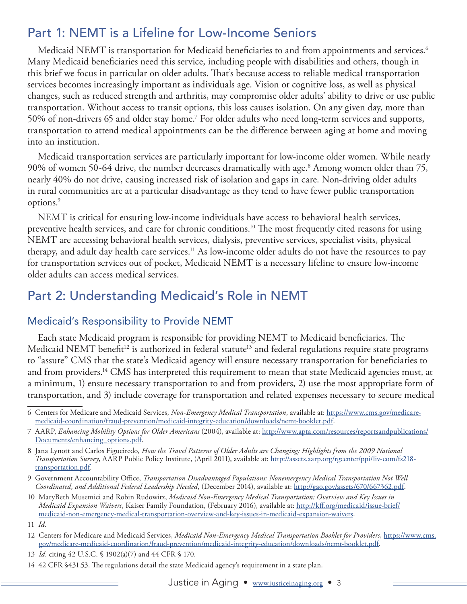## <span id="page-3-0"></span>Part 1: NEMT is a Lifeline for Low-Income Seniors

Medicaid NEMT is transportation for Medicaid beneficiaries to and from appointments and services.<sup>6</sup> Many Medicaid beneficiaries need this service, including people with disabilities and others, though in this brief we focus in particular on older adults. That's because access to reliable medical transportation services becomes increasingly important as individuals age. Vision or cognitive loss, as well as physical changes, such as reduced strength and arthritis, may compromise older adults' ability to drive or use public transportation. Without access to transit options, this loss causes isolation. On any given day, more than 50% of non-drivers 65 and older stay home.7 For older adults who need long-term services and supports, transportation to attend medical appointments can be the difference between aging at home and moving into an institution.

Medicaid transportation services are particularly important for low-income older women. While nearly 90% of women 50-64 drive, the number decreases dramatically with age.<sup>8</sup> Among women older than 75, nearly 40% do not drive, causing increased risk of isolation and gaps in care. Non-driving older adults in rural communities are at a particular disadvantage as they tend to have fewer public transportation options.9

NEMT is critical for ensuring low-income individuals have access to behavioral health services, preventive health services, and care for chronic conditions.<sup>10</sup> The most frequently cited reasons for using NEMT are accessing behavioral health services, dialysis, preventive services, specialist visits, physical therapy, and adult day health care services.<sup>11</sup> As low-income older adults do not have the resources to pay for transportation services out of pocket, Medicaid NEMT is a necessary lifeline to ensure low-income older adults can access medical services.

## Part 2: Understanding Medicaid's Role in NEMT

#### Medicaid's Responsibility to Provide NEMT

Each state Medicaid program is responsible for providing NEMT to Medicaid beneficiaries. The Medicaid NEMT benefit<sup>12</sup> is authorized in federal statute<sup>13</sup> and federal regulations require state programs to "assure" CMS that the state's Medicaid agency will ensure necessary transportation for beneficiaries to and from providers.<sup>14</sup> CMS has interpreted this requirement to mean that state Medicaid agencies must, at a minimum, 1) ensure necessary transportation to and from providers, 2) use the most appropriate form of transportation, and 3) include coverage for transportation and related expenses necessary to secure medical

- 9 Government Accountability Office, *Transportation Disadvantaged Populations: Nonemergency Medical Transportation Not Well Coordinated, and Additional Federal Leadership Needed*, (December 2014), available at: [http://gao.gov/assets/670/667362.pdf.](http://gao.gov/assets/670/667362.pdf)
- 10 MaryBeth Musemici and Robin Rudowitz, *Medicaid Non-Emergency Medical Transportation: Overview and Key Issues in Medicaid Expansion Waivers*, Kaiser Family Foundation, (February 2016), available at: [http://kff.org/medicaid/issue-brief/](http://kff.org/medicaid/issue-brief/medicaid-non-emergency-medical-transportation-overview-and-key-issues-in-medicaid-expansion-waivers/) [medicaid-non-emergency-medical-transportation-overview-and-key-issues-in-medicaid-expansion-waivers](http://kff.org/medicaid/issue-brief/medicaid-non-emergency-medical-transportation-overview-and-key-issues-in-medicaid-expansion-waivers/).

- 12 Centers for Medicare and Medicaid Services, *Medicaid Non-Emergency Medical Transportation Booklet for Providers*, [https://www.cms.](https://www.cms.gov/medicare-medicaid-coordination/fraud-prevention/medicaid-integrity-education/downloads/nemt-booklet.pdf) [gov/medicare-medicaid-coordination/fraud-prevention/medicaid-integrity-education/downloads/nemt-booklet.pdf.](https://www.cms.gov/medicare-medicaid-coordination/fraud-prevention/medicaid-integrity-education/downloads/nemt-booklet.pdf)
- 13 *Id.* citing 42 U.S.C. § 1902(a)(7) and 44 CFR § 170.
- 14 42 CFR §431.53. The regulations detail the state Medicaid agency's requirement in a state plan.

<sup>6</sup> Centers for Medicare and Medicaid Services, *Non-Emergency Medical Transportation*, available at: [https://www.cms.gov/medicare](https://www.cms.gov/medicare-medicaid-coordination/fraud-prevention/medicaid-integrity-education/downloads/nemt-booklet.pdf)[medicaid-coordination/fraud-prevention/medicaid-integrity-education/downloads/nemt-booklet.pdf.](https://www.cms.gov/medicare-medicaid-coordination/fraud-prevention/medicaid-integrity-education/downloads/nemt-booklet.pdf)

<sup>7</sup> AARP, *Enhancing Mobility Options for Older Americans* (2004), available at: [http://www.apta.com/resources/reportsandpublications/](http://www.apta.com/resources/reportsandpublications/Documents/enhancing_options.pdf) [Documents/enhancing\\_options.pdf.](http://www.apta.com/resources/reportsandpublications/Documents/enhancing_options.pdf)

<sup>8</sup> Jana Lynott and Carlos Figueiredo, *How the Travel Patterns of Older Adults are Changing: Highlights from the 2009 National Transportation Survey*, AARP Public Policy Institute, (April 2011), available at: [http://assets.aarp.org/rgcenter/ppi/liv-com/fs218](http://assets.aarp.org/rgcenter/ppi/liv-com/fs218-transportation.pdf) [transportation.pdf.](http://assets.aarp.org/rgcenter/ppi/liv-com/fs218-transportation.pdf)

<sup>11</sup> *Id.*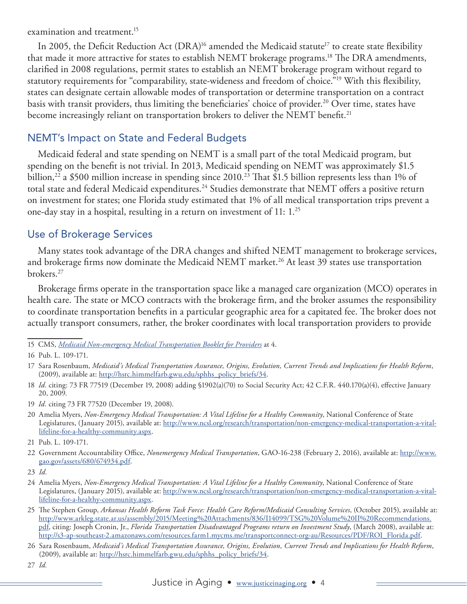<span id="page-4-0"></span>examination and treatment.<sup>15</sup>

In 2005, the Deficit Reduction Act (DRA)<sup>16</sup> amended the Medicaid statute<sup>17</sup> to create state flexibility that made it more attractive for states to establish NEMT brokerage programs.<sup>18</sup> The DRA amendments, clarified in 2008 regulations, permit states to establish an NEMT brokerage program without regard to statutory requirements for "comparability, state-wideness and freedom of choice."19 With this flexibility, states can designate certain allowable modes of transportation or determine transportation on a contract basis with transit providers, thus limiting the beneficiaries' choice of provider.<sup>20</sup> Over time, states have become increasingly reliant on transportation brokers to deliver the NEMT benefit.<sup>21</sup>

#### NEMT's Impact on State and Federal Budgets

Medicaid federal and state spending on NEMT is a small part of the total Medicaid program, but spending on the benefit is not trivial. In 2013, Medicaid spending on NEMT was approximately \$1.5 billion,<sup>22</sup> a \$500 million increase in spending since 2010.<sup>23</sup> That \$1.5 billion represents less than 1% of total state and federal Medicaid expenditures.<sup>24</sup> Studies demonstrate that NEMT offers a positive return on investment for states; one Florida study estimated that 1% of all medical transportation trips prevent a one-day stay in a hospital, resulting in a return on investment of 11: 1.25

#### Use of Brokerage Services

Many states took advantage of the DRA changes and shifted NEMT management to brokerage services, and brokerage firms now dominate the Medicaid NEMT market.<sup>26</sup> At least 39 states use transportation brokers.27

Brokerage firms operate in the transportation space like a managed care organization (MCO) operates in health care. The state or MCO contracts with the brokerage firm, and the broker assumes the responsibility to coordinate transportation benefits in a particular geographic area for a capitated fee. The broker does not actually transport consumers, rather, the broker coordinates with local transportation providers to provide

<sup>15</sup> CMS, *[Medicaid Non-emergency Medical Transportation Booklet for Providers](https://www.cms.gov/medicare-medicaid-coordination/fraud-prevention/medicaid-integrity-education/downloads/nemt-booklet.pdf)* at 4.

<sup>16</sup> Pub. L. 109-171.

<sup>17</sup> Sara Rosenbaum, *Medicaid's Medical Transportation Assurance, Origins, Evolution, Current Trends and Implications for Health Reform*, (2009), available at: [http://hsrc.himmelfarb.gwu.edu/sphhs\\_policy\\_briefs/34](http://hsrc.himmelfarb.gwu.edu/sphhs_policy_briefs/34/).

<sup>18</sup> *Id.* citing: 73 FR 77519 (December 19, 2008) adding §1902(a)(70) to Social Security Act; 42 C.F.R. 440.170(a)(4), effective January 20, 2009.

<sup>19</sup> *Id.* citing 73 FR 77520 (December 19, 2008).

<sup>20</sup> Amelia Myers, *Non-Emergency Medical Transportation: A Vital Lifeline for a Healthy Community*, National Conference of State Legislatures, (January 2015), available at: [http://www.ncsl.org/research/transportation/non-emergency-medical-transportation-a-vital](http://www.ncsl.org/research/transportation/non-emergency-medical-transportation-a-vital-lifeline-for-a-healthy-community.aspx)[lifeline-for-a-healthy-community.aspx.](http://www.ncsl.org/research/transportation/non-emergency-medical-transportation-a-vital-lifeline-for-a-healthy-community.aspx)

<sup>21</sup> Pub. L. 109-171.

<sup>22</sup> Government Accountability Office, *Nonemergency Medical Transportation*, GAO-16-238 (February 2, 2016), available at: [http://www.](http://www.gao.gov/assets/680/674934.pdf) [gao.gov/assets/680/674934.pdf.](http://www.gao.gov/assets/680/674934.pdf)

<sup>23</sup> *Id.*

<sup>24</sup> Amelia Myers, *Non-Emergency Medical Transportation: A Vital Lifeline for a Healthy Community*, National Conference of State Legislatures, (January 2015), available at: [http://www.ncsl.org/research/transportation/non-emergency-medical-transportation-a-vital](http://www.ncsl.org/research/transportation/non-emergency-medical-transportation-a-vital-lifeline-for-a-healthy-community.aspx)[lifeline-for-a-healthy-community.aspx](http://www.ncsl.org/research/transportation/non-emergency-medical-transportation-a-vital-lifeline-for-a-healthy-community.aspx).

<sup>25</sup> The Stephen Group, *Arkansas Health Reform Task Force: Health Care Reform/Medicaid Consulting Services*, (October 2015), available at: [http://www.arkleg.state.ar.us/assembly/2015/Meeting%20Attachments/836/I14099/TSG%20Volume%20II%20Recommendations.](http://www.arkleg.state.ar.us/assembly/2015/Meeting%20Attachments/836/I14099/TSG%20Volume%20II%20Recommendations.pdf) [pdf,](http://www.arkleg.state.ar.us/assembly/2015/Meeting%20Attachments/836/I14099/TSG%20Volume%20II%20Recommendations.pdf) citing: Joseph Cronin, Jr., *Florida Transportation Disadvantaged Programs return on Investment Study*, (March 2008), available at: [http://s3-ap-southeast-2.amazonaws.com/resources.farm1.mycms.me/transportconnect-org-au/Resources/PDF/ROI\\_Florida.pdf](http://s3-ap-southeast-2.amazonaws.com/resources.farm1.mycms.me/transportconnect-org-au/Resources/PDF/ROI_Florida.pdf).

<sup>26</sup> Sara Rosenbaum, *Medicaid's Medical Transportation Assurance, Origins, Evolution, Current Trends and Implications for Health Reform*, (2009), available at: [http://hsrc.himmelfarb.gwu.edu/sphhs\\_policy\\_briefs/34](http://hsrc.himmelfarb.gwu.edu/sphhs_policy_briefs/34/).

<sup>27</sup> *Id.*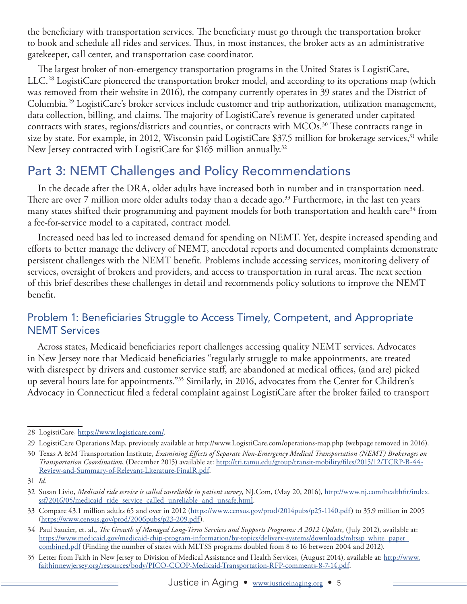<span id="page-5-0"></span>the beneficiary with transportation services. The beneficiary must go through the transportation broker to book and schedule all rides and services. Thus, in most instances, the broker acts as an administrative gatekeeper, call center, and transportation case coordinator.

The largest broker of non-emergency transportation programs in the United States is LogistiCare, LLC.28 LogistiCare pioneered the transportation broker model, and according to its operations map (which was removed from their website in 2016), the company currently operates in 39 states and the District of Columbia.29 LogistiCare's broker services include customer and trip authorization, utilization management, data collection, billing, and claims. The majority of LogistiCare's revenue is generated under capitated contracts with states, regions/districts and counties, or contracts with MCOs.<sup>30</sup> These contracts range in size by state. For example, in 2012, Wisconsin paid LogistiCare \$37.5 million for brokerage services,<sup>31</sup> while New Jersey contracted with LogistiCare for \$165 million annually.<sup>32</sup>

## Part 3: NEMT Challenges and Policy Recommendations

In the decade after the DRA, older adults have increased both in number and in transportation need. There are over 7 million more older adults today than a decade ago.<sup>33</sup> Furthermore, in the last ten years many states shifted their programming and payment models for both transportation and health care<sup>34</sup> from a fee-for-service model to a capitated, contract model.

Increased need has led to increased demand for spending on NEMT. Yet, despite increased spending and efforts to better manage the delivery of NEMT, anecdotal reports and documented complaints demonstrate persistent challenges with the NEMT benefit. Problems include accessing services, monitoring delivery of services, oversight of brokers and providers, and access to transportation in rural areas. The next section of this brief describes these challenges in detail and recommends policy solutions to improve the NEMT benefit.

#### Problem 1: Beneficiaries Struggle to Access Timely, Competent, and Appropriate NEMT Services

Across states, Medicaid beneficiaries report challenges accessing quality NEMT services. Advocates in New Jersey note that Medicaid beneficiaries "regularly struggle to make appointments, are treated with disrespect by drivers and customer service staff, are abandoned at medical offices, (and are) picked up several hours late for appointments."35 Similarly, in 2016, advocates from the Center for Children's Advocacy in Connecticut filed a federal complaint against LogistiCare after the broker failed to transport

<sup>28</sup> LogistiCare, <https://www.logisticare.com/>.

<sup>29</sup> LogistiCare Operations Map, previously available at http://www.LogistiCare.com/operations-map.php (webpage removed in 2016).

<sup>30</sup> Texas A &M Transportation Institute, *Examining Effects of Separate Non-Emergency Medical Transportation (NEMT) Brokerages on Transportation Coordination*, (December 2015) available at: [http://tti.tamu.edu/group/transit-mobility/files/2015/12/TCRP-B-44-](http://tti.tamu.edu/group/transit-mobility/files/2015/12/TCRP-B-44-Review-and-Summary-of-Relevant-Literature-FinalR.pdf) [Review-and-Summary-of-Relevant-Literature-FinalR.pdf](http://tti.tamu.edu/group/transit-mobility/files/2015/12/TCRP-B-44-Review-and-Summary-of-Relevant-Literature-FinalR.pdf).

<sup>31</sup> *Id.*

<sup>32</sup> Susan Livio, *Medicaid ride service is called unreliable in patient survey*, NJ.Com, (May 20, 2016), [http://www.nj.com/healthfit/index.](http://www.nj.com/healthfit/index.ssf/2016/05/medicaid_ride_service_called_unreliable_and_unsafe.html) [ssf/2016/05/medicaid\\_ride\\_service\\_called\\_unreliable\\_and\\_unsafe.html.](http://www.nj.com/healthfit/index.ssf/2016/05/medicaid_ride_service_called_unreliable_and_unsafe.html)

<sup>33</sup> Compare 43.1 million adults 65 and over in 2012 (<https://www.census.gov/prod/2014pubs/p25-1140.pdf>) to 35.9 million in 2005 (<https://www.census.gov/prod/2006pubs/p23-209.pdf>).

<sup>34</sup> Paul Saucier, et. al., *The Growth of Managed Long-Term Services and Supports Programs: A 2012 Update*, (July 2012), available at: [https://www.medicaid.gov/medicaid-chip-program-information/by-topics/delivery-systems/downloads/mltssp\\_white\\_paper\\_](https://www.medicaid.gov/medicaid-chip-program-information/by-topics/delivery-systems/downloads/mltssp_white_paper_combined.pdf) [combined.pdf](https://www.medicaid.gov/medicaid-chip-program-information/by-topics/delivery-systems/downloads/mltssp_white_paper_combined.pdf) (Finding the number of states with MLTSS programs doubled from 8 to 16 between 2004 and 2012).

<sup>35</sup> Letter from Faith in New Jersey to Division of Medical Assistance and Health Services, (August 2014), available at: [http://www.](http://www.faithinnewjersey.org/resources/body/PICO-CCOP-Medicaid-Transportation-RFP-comments-8-7-14.pdf) [faithinnewjersey.org/resources/body/PICO-CCOP-Medicaid-Transportation-RFP-comments-8-7-14.pdf.](http://www.faithinnewjersey.org/resources/body/PICO-CCOP-Medicaid-Transportation-RFP-comments-8-7-14.pdf)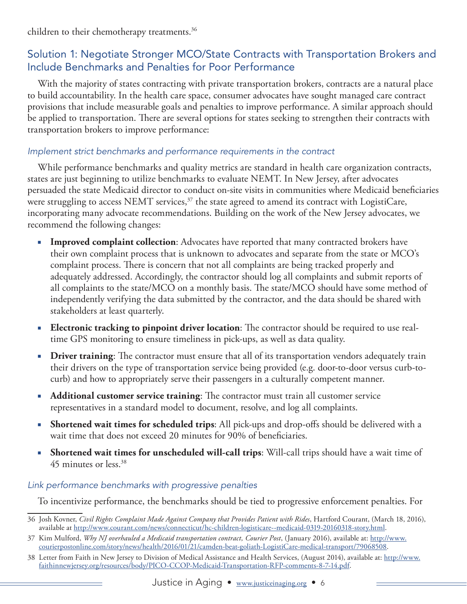<span id="page-6-0"></span>children to their chemotherapy treatments.<sup>36</sup>

#### Solution 1: Negotiate Stronger MCO/State Contracts with Transportation Brokers and Include Benchmarks and Penalties for Poor Performance

With the majority of states contracting with private transportation brokers, contracts are a natural place to build accountability. In the health care space, consumer advocates have sought managed care contract provisions that include measurable goals and penalties to improve performance. A similar approach should be applied to transportation. There are several options for states seeking to strengthen their contracts with transportation brokers to improve performance:

#### *Implement strict benchmarks and performance requirements in the contract*

While performance benchmarks and quality metrics are standard in health care organization contracts, states are just beginning to utilize benchmarks to evaluate NEMT. In New Jersey, after advocates persuaded the state Medicaid director to conduct on-site visits in communities where Medicaid beneficiaries were struggling to access NEMT services, $37$  the state agreed to amend its contract with LogistiCare, incorporating many advocate recommendations. Building on the work of the New Jersey advocates, we recommend the following changes:

- **Improved complaint collection:** Advocates have reported that many contracted brokers have their own complaint process that is unknown to advocates and separate from the state or MCO's complaint process. There is concern that not all complaints are being tracked properly and adequately addressed. Accordingly, the contractor should log all complaints and submit reports of all complaints to the state/MCO on a monthly basis. The state/MCO should have some method of independently verifying the data submitted by the contractor, and the data should be shared with stakeholders at least quarterly.
- **Electronic tracking to pinpoint driver location:** The contractor should be required to use realtime GPS monitoring to ensure timeliness in pick-ups, as well as data quality.
- **Driver training:** The contractor must ensure that all of its transportation vendors adequately train their drivers on the type of transportation service being provided (e.g. door-to-door versus curb-tocurb) and how to appropriately serve their passengers in a culturally competent manner.
- **Additional customer service training:** The contractor must train all customer service representatives in a standard model to document, resolve, and log all complaints.
- **Shortened wait times for scheduled trips**: All pick-ups and drop-offs should be delivered with a wait time that does not exceed 20 minutes for 90% of beneficiaries.
- **Shortened wait times for unscheduled will-call trips**: Will-call trips should have a wait time of 45 minutes or less.38

#### *Link performance benchmarks with progressive penalties*

To incentivize performance, the benchmarks should be tied to progressive enforcement penalties. For

- 36 Josh Kovner, *Civil Rights Complaint Made Against Company that Provides Patient with Rides*, Hartford Courant, (March 18, 2016), available at [http://www.courant.com/news/connecticut/hc-children-logisticare--medicaid-0319-20160318-story.html.](http://www.courant.com/news/connecticut/hc-children-logisticare--medicaid-0319-20160318-story.html)
- 37 Kim Mulford, *Why NJ overhauled a Medicaid transportation contract, Courier Post*, (January 2016), available at: [http://www.](http://www.courierpostonline.com/story/news/health/2016/01/21/camden-beat-goliath-logisticare-medical-transport/79068508/) [courierpostonline.com/story/news/health/2016/01/21/camden-beat-goliath-LogistiCare-medical-transport/79068508](http://www.courierpostonline.com/story/news/health/2016/01/21/camden-beat-goliath-logisticare-medical-transport/79068508/).

<sup>38</sup> Letter from Faith in New Jersey to Division of Medical Assistance and Health Services, (August 2014), available at: [http://www.](http://www.faithinnewjersey.org/resources/body/PICO-CCOP-Medicaid-Transportation-RFP-comments-8-7-14.pdf) [faithinnewjersey.org/resources/body/PICO-CCOP-Medicaid-Transportation-RFP-comments-8-7-14.pdf](http://www.faithinnewjersey.org/resources/body/PICO-CCOP-Medicaid-Transportation-RFP-comments-8-7-14.pdf).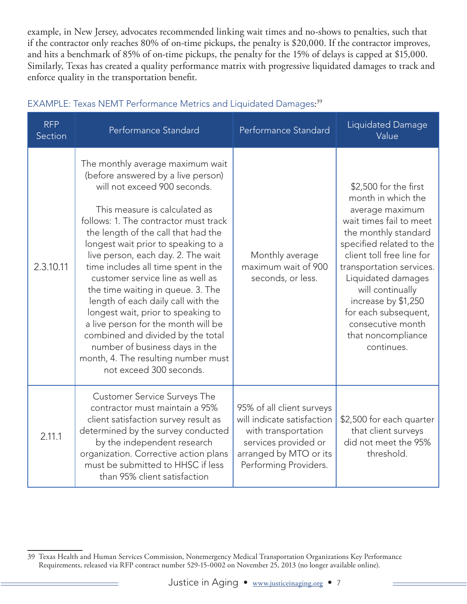example, in New Jersey, advocates recommended linking wait times and no-shows to penalties, such that if the contractor only reaches 80% of on-time pickups, the penalty is \$20,000. If the contractor improves, and hits a benchmark of 85% of on-time pickups, the penalty for the 15% of delays is capped at \$15,000. Similarly, Texas has created a quality performance matrix with progressive liquidated damages to track and enforce quality in the transportation benefit.

| <b>RFP</b><br>Section | Performance Standard                                                                                                                                                                                                                                                                                                                                                                                                                                                                                                                                                                                                                                                             | Performance Standard                                                                                                                                      | Liquidated Damage<br>Value                                                                                                                                                                                                                                                                                                                               |
|-----------------------|----------------------------------------------------------------------------------------------------------------------------------------------------------------------------------------------------------------------------------------------------------------------------------------------------------------------------------------------------------------------------------------------------------------------------------------------------------------------------------------------------------------------------------------------------------------------------------------------------------------------------------------------------------------------------------|-----------------------------------------------------------------------------------------------------------------------------------------------------------|----------------------------------------------------------------------------------------------------------------------------------------------------------------------------------------------------------------------------------------------------------------------------------------------------------------------------------------------------------|
| 2.3.10.11             | The monthly average maximum wait<br>(before answered by a live person)<br>will not exceed 900 seconds.<br>This measure is calculated as<br>follows: 1. The contractor must track<br>the length of the call that had the<br>longest wait prior to speaking to a<br>live person, each day. 2. The wait<br>time includes all time spent in the<br>customer service line as well as<br>the time waiting in queue. 3. The<br>length of each daily call with the<br>longest wait, prior to speaking to<br>a live person for the month will be<br>combined and divided by the total<br>number of business days in the<br>month, 4. The resulting number must<br>not exceed 300 seconds. | Monthly average<br>maximum wait of 900<br>seconds, or less.                                                                                               | \$2,500 for the first<br>month in which the<br>average maximum<br>wait times fail to meet<br>the monthly standard<br>specified related to the<br>client toll free line for<br>transportation services.<br>Liquidated damages<br>will continually<br>increase by \$1,250<br>for each subsequent,<br>consecutive month<br>that noncompliance<br>continues. |
| 2.11.1                | <b>Customer Service Surveys The</b><br>contractor must maintain a 95%<br>client satisfaction survey result as<br>determined by the survey conducted<br>by the independent research<br>organization. Corrective action plans<br>must be submitted to HHSC if less<br>than 95% client satisfaction                                                                                                                                                                                                                                                                                                                                                                                 | 95% of all client surveys<br>will indicate satisfaction<br>with transportation<br>services provided or<br>arranged by MTO or its<br>Performing Providers. | \$2,500 for each quarter<br>that client surveys<br>did not meet the 95%<br>threshold.                                                                                                                                                                                                                                                                    |

#### EXAMPLE: Texas NEMT Performance Metrics and Liquidated Damages: 39

<sup>39</sup> Texas Health and Human Services Commission, Nonemergency Medical Transportation Organizations Key Performance Requirements, released via RFP contract number 529-15-0002 on November 25, 2013 (no longer available online).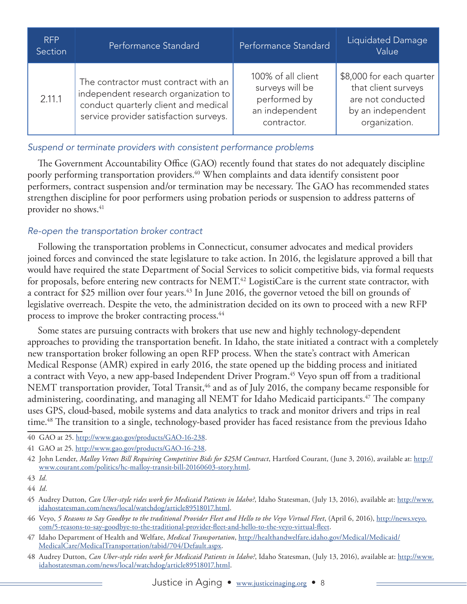| <b>RFP</b><br>Section | Performance Standard                                                                                                                                           | Performance Standard                                                                   | Liquidated Damage<br>Value                                                                                 |
|-----------------------|----------------------------------------------------------------------------------------------------------------------------------------------------------------|----------------------------------------------------------------------------------------|------------------------------------------------------------------------------------------------------------|
| 2.11.1                | The contractor must contract with an<br>independent research organization to<br>conduct quarterly client and medical<br>service provider satisfaction surveys. | 100% of all client<br>surveys will be<br>performed by<br>an independent<br>contractor. | \$8,000 for each quarter<br>that client surveys<br>are not conducted<br>by an independent<br>organization. |

#### *Suspend or terminate providers with consistent performance problems*

The Government Accountability Office (GAO) recently found that states do not adequately discipline poorly performing transportation providers.<sup>40</sup> When complaints and data identify consistent poor performers, contract suspension and/or termination may be necessary. The GAO has recommended states strengthen discipline for poor performers using probation periods or suspension to address patterns of provider no shows.<sup>41</sup>

#### *Re-open the transportation broker contract*

Following the transportation problems in Connecticut, consumer advocates and medical providers joined forces and convinced the state legislature to take action. In 2016, the legislature approved a bill that would have required the state Department of Social Services to solicit competitive bids, via formal requests for proposals, before entering new contracts for NEMT.<sup>42</sup> LogistiCare is the current state contractor, with a contract for \$25 million over four years.<sup>43</sup> In June 2016, the governor vetoed the bill on grounds of legislative overreach. Despite the veto, the administration decided on its own to proceed with a new RFP process to improve the broker contracting process.44

Some states are pursuing contracts with brokers that use new and highly technology-dependent approaches to providing the transportation benefit. In Idaho, the state initiated a contract with a completely new transportation broker following an open RFP process. When the state's contract with American Medical Response (AMR) expired in early 2016, the state opened up the bidding process and initiated a contract with Veyo, a new app-based Independent Driver Program.<sup>45</sup> Veyo spun off from a traditional NEMT transportation provider, Total Transit,<sup>46</sup> and as of July 2016, the company became responsible for administering, coordinating, and managing all NEMT for Idaho Medicaid participants.<sup>47</sup> The company uses GPS, cloud-based, mobile systems and data analytics to track and monitor drivers and trips in real time.<sup>48</sup> The transition to a single, technology-based provider has faced resistance from the previous Idaho

- 40 GAO at 25. [http://www.gao.gov/products/GAO-16-238.](http://www.gao.gov/products/GAO-16-238)
- 41 GAO at 25. <http://www.gao.gov/products/GAO-16-238>.

- 46 Veyo, *5 Reasons to Say Goodbye to the traditional Provider Fleet and Hello to the Veyo Virtual Fleet*, (April 6, 2016), [http://news.veyo.](https://www.veyo.com/5-reasons-to-say-goodbye-to-the-traditional-provider-fleet-and-hello-to-the-veyo-virtual-fleet/) [com/5-reasons-to-say-goodbye-to-the-traditional-provider-fleet-and-hello-to-the-veyo-virtual-fleet](https://www.veyo.com/5-reasons-to-say-goodbye-to-the-traditional-provider-fleet-and-hello-to-the-veyo-virtual-fleet/).
- 47 Idaho Department of Health and Welfare, *Medical Transportation*, [http://healthandwelfare.idaho.gov/Medical/Medicaid/](https://healthandwelfare.idaho.gov/Medical/Medicaid/MedicalCare/MedicalTransportation/tabid/704/Default.aspx) [MedicalCare/MedicalTransportation/tabid/704/Default.aspx](https://healthandwelfare.idaho.gov/Medical/Medicaid/MedicalCare/MedicalTransportation/tabid/704/Default.aspx).

<sup>42</sup> John Lender, *Malloy Vetoes Bill Requiring Competitive Bids for \$25M Contract*, Hartford Courant, (June 3, 2016), available at: [http://](http://www.courant.com/politics/hc-malloy-transit-bill-20160603-story.html) [www.courant.com/politics/hc-malloy-transit-bill-20160603-story.html](http://www.courant.com/politics/hc-malloy-transit-bill-20160603-story.html).

<sup>43</sup> *Id.*

<sup>44</sup> *Id.*

<sup>45</sup> Audrey Dutton, *Can Uber-style rides work for Medicaid Patients in Idaho?*, Idaho Statesman, (July 13, 2016), available at: [http://www.](http://www.idahostatesman.com/news/local/watchdog/article89518017.html) [idahostatesman.com/news/local/watchdog/article89518017.html](http://www.idahostatesman.com/news/local/watchdog/article89518017.html).

<sup>48</sup> Audrey Dutton, *Can Uber-style rides work for Medicaid Patients in Idaho?*, Idaho Statesman, (July 13, 2016), available at: [http://www.](http://www.idahostatesman.com/news/local/watchdog/article89518017.html) [idahostatesman.com/news/local/watchdog/article89518017.html.](http://www.idahostatesman.com/news/local/watchdog/article89518017.html)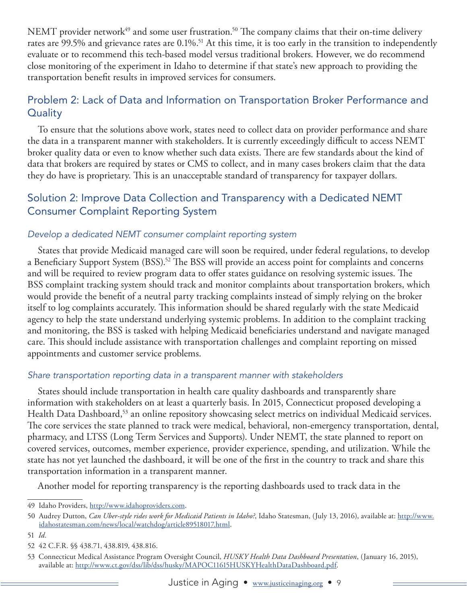<span id="page-9-0"></span>NEMT provider network<sup>49</sup> and some user frustration.<sup>50</sup> The company claims that their on-time delivery rates are 99.5% and grievance rates are 0.1%.<sup>51</sup> At this time, it is too early in the transition to independently evaluate or to recommend this tech-based model versus traditional brokers. However, we do recommend close monitoring of the experiment in Idaho to determine if that state's new approach to providing the transportation benefit results in improved services for consumers.

#### Problem 2: Lack of Data and Information on Transportation Broker Performance and **Quality**

To ensure that the solutions above work, states need to collect data on provider performance and share the data in a transparent manner with stakeholders. It is currently exceedingly difficult to access NEMT broker quality data or even to know whether such data exists. There are few standards about the kind of data that brokers are required by states or CMS to collect, and in many cases brokers claim that the data they do have is proprietary. This is an unacceptable standard of transparency for taxpayer dollars.

#### Solution 2: Improve Data Collection and Transparency with a Dedicated NEMT Consumer Complaint Reporting System

#### *Develop a dedicated NEMT consumer complaint reporting system*

States that provide Medicaid managed care will soon be required, under federal regulations, to develop a Beneficiary Support System (BSS).52 The BSS will provide an access point for complaints and concerns and will be required to review program data to offer states guidance on resolving systemic issues. The BSS complaint tracking system should track and monitor complaints about transportation brokers, which would provide the benefit of a neutral party tracking complaints instead of simply relying on the broker itself to log complaints accurately. This information should be shared regularly with the state Medicaid agency to help the state understand underlying systemic problems. In addition to the complaint tracking and monitoring, the BSS is tasked with helping Medicaid beneficiaries understand and navigate managed care. This should include assistance with transportation challenges and complaint reporting on missed appointments and customer service problems.

#### *Share transportation reporting data in a transparent manner with stakeholders*

States should include transportation in health care quality dashboards and transparently share information with stakeholders on at least a quarterly basis. In 2015, Connecticut proposed developing a Health Data Dashboard,<sup>53</sup> an online repository showcasing select metrics on individual Medicaid services. The core services the state planned to track were medical, behavioral, non-emergency transportation, dental, pharmacy, and LTSS (Long Term Services and Supports). Under NEMT, the state planned to report on covered services, outcomes, member experience, provider experience, spending, and utilization. While the state has not yet launched the dashboard, it will be one of the first in the country to track and share this transportation information in a transparent manner.

Another model for reporting transparency is the reporting dashboards used to track data in the

<sup>49</sup> Idaho Providers, [http://www.idahoproviders.com](http://www.idahoproviders.com/).

<sup>50</sup> Audrey Dutton, *Can Uber-style rides work for Medicaid Patients in Idaho?*, Idaho Statesman, (July 13, 2016), available at: [http://www.](http://www.idahostatesman.com/news/local/watchdog/article89518017.html) [idahostatesman.com/news/local/watchdog/article89518017.html.](http://www.idahostatesman.com/news/local/watchdog/article89518017.html)

<sup>51</sup> *Id.*

<sup>52</sup> 42 C.F.R. §§ 438.71, 438.819, 438.816.

<sup>53</sup> Connecticut Medical Assistance Program Oversight Council, *HUSKY Health Data Dashboard Presentation*, (January 16, 2015), available at: <http://www.ct.gov/dss/lib/dss/husky/MAPOC11615HUSKYHealthDataDashboard.pdf>.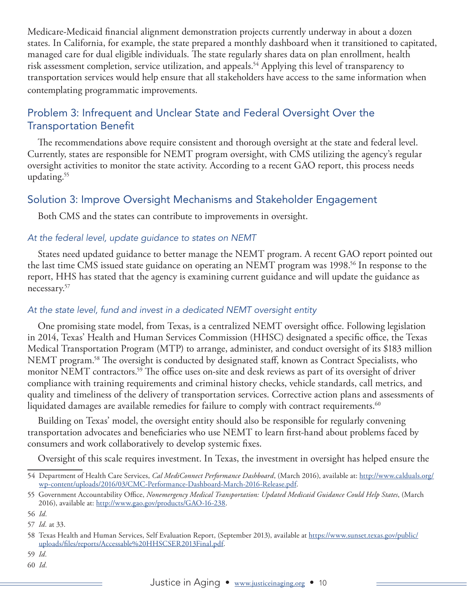<span id="page-10-0"></span>Medicare-Medicaid financial alignment demonstration projects currently underway in about a dozen states. In California, for example, the state prepared a monthly dashboard when it transitioned to capitated, managed care for dual eligible individuals. The state regularly shares data on plan enrollment, health risk assessment completion, service utilization, and appeals.54 Applying this level of transparency to transportation services would help ensure that all stakeholders have access to the same information when contemplating programmatic improvements.

#### Problem 3: Infrequent and Unclear State and Federal Oversight Over the Transportation Benefit

The recommendations above require consistent and thorough oversight at the state and federal level. Currently, states are responsible for NEMT program oversight, with CMS utilizing the agency's regular oversight activities to monitor the state activity. According to a recent GAO report, this process needs updating.55

#### Solution 3: Improve Oversight Mechanisms and Stakeholder Engagement

Both CMS and the states can contribute to improvements in oversight.

#### *At the federal level, update guidance to states on NEMT*

States need updated guidance to better manage the NEMT program. A recent GAO report pointed out the last time CMS issued state guidance on operating an NEMT program was 1998.<sup>56</sup> In response to the report, HHS has stated that the agency is examining current guidance and will update the guidance as necessary.57

#### *At the state level, fund and invest in a dedicated NEMT oversight entity*

One promising state model, from Texas, is a centralized NEMT oversight office. Following legislation in 2014, Texas' Health and Human Services Commission (HHSC) designated a specific office, the Texas Medical Transportation Program (MTP) to arrange, administer, and conduct oversight of its \$183 million NEMT program.58 The oversight is conducted by designated staff, known as Contract Specialists, who monitor NEMT contractors.<sup>59</sup> The office uses on-site and desk reviews as part of its oversight of driver compliance with training requirements and criminal history checks, vehicle standards, call metrics, and quality and timeliness of the delivery of transportation services. Corrective action plans and assessments of liquidated damages are available remedies for failure to comply with contract requirements. $60$ 

Building on Texas' model, the oversight entity should also be responsible for regularly convening transportation advocates and beneficiaries who use NEMT to learn first-hand about problems faced by consumers and work collaboratively to develop systemic fixes.

Oversight of this scale requires investment. In Texas, the investment in oversight has helped ensure the

60 *Id.*

<sup>54</sup> Department of Health Care Services, *Cal MediConnect Performance Dashboard*, (March 2016), available at: [http://www.calduals.org/](http://www.calduals.org/wp-content/uploads/2016/03/CMC-Performance-Dashboard-March-2016-Release.pdf) [wp-content/uploads/2016/03/CMC-Performance-Dashboard-March-2016-Release.pdf.](http://www.calduals.org/wp-content/uploads/2016/03/CMC-Performance-Dashboard-March-2016-Release.pdf)

<sup>55</sup> Government Accountability Office, *Nonemergency Medical Transportation: Updated Medicaid Guidance Could Help States*, (March 2016), available at: [http://www.gao.gov/products/GAO-16-238.](http://www.gao.gov/products/GAO-16-238)

<sup>56</sup> *Id.*

<sup>57</sup> *Id.* at 33.

<sup>58</sup> Texas Health and Human Services, Self Evaluation Report, (September 2013), available at [https://www.sunset.texas.gov/public/](https://www.sunset.texas.gov/public/uploads/files/reports/Accessable%20HHSCSER2013Final.pdf) [uploads/files/reports/Accessable%20HHSCSER2013Final.pdf.](https://www.sunset.texas.gov/public/uploads/files/reports/Accessable%20HHSCSER2013Final.pdf)

<sup>59</sup> *Id.*